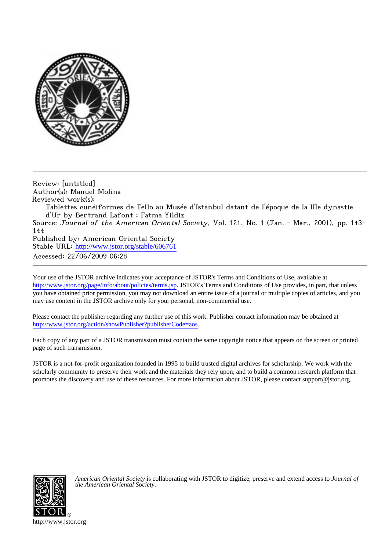

Review: [untitled] Author(s): Manuel Molina Reviewed work(s):

Tablettes cunéiformes de Tello au Musée d'Istanbul datant de l'époque de la IIIe dynastie d'Ur by Bertrand Lafont ; Fatma Yildiz

Source: Journal of the American Oriental Society, Vol. 121, No. 1 (Jan. - Mar., 2001), pp. 143-144

Published by: American Oriental Society Stable URL: [http://www.jstor.org/stable/606761](http://www.jstor.org/stable/606761?origin=JSTOR-pdf) Accessed: 22/06/2009 06:28

Your use of the JSTOR archive indicates your acceptance of JSTOR's Terms and Conditions of Use, available at <http://www.jstor.org/page/info/about/policies/terms.jsp>. JSTOR's Terms and Conditions of Use provides, in part, that unless you have obtained prior permission, you may not download an entire issue of a journal or multiple copies of articles, and you may use content in the JSTOR archive only for your personal, non-commercial use.

Please contact the publisher regarding any further use of this work. Publisher contact information may be obtained at <http://www.jstor.org/action/showPublisher?publisherCode=aos>.

Each copy of any part of a JSTOR transmission must contain the same copyright notice that appears on the screen or printed page of such transmission.

JSTOR is a not-for-profit organization founded in 1995 to build trusted digital archives for scholarship. We work with the scholarly community to preserve their work and the materials they rely upon, and to build a common research platform that promotes the discovery and use of these resources. For more information about JSTOR, please contact support@jstor.org.



*American Oriental Society* is collaborating with JSTOR to digitize, preserve and extend access to *Journal of the American Oriental Society.*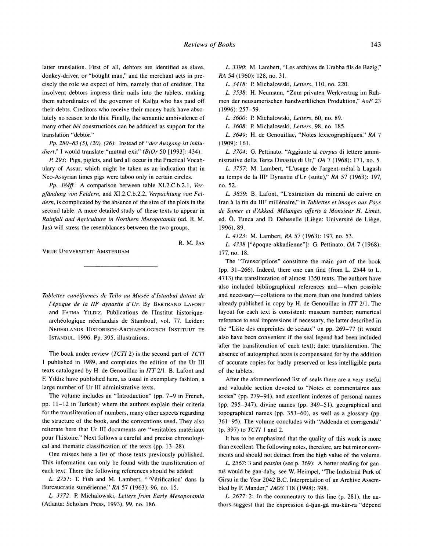**latter translation. First of all, debtors are identified as slave, donkey-driver, or "bought man," and the merchant acts in precisely the role we expect of him, namely that of creditor. The insolvent debtors impress their nails into the tablets, making them subordinates of the governor of Kalbu who has paid off their debts. Creditors who receive their money back have absolutely no reason to do this. Finally, the semantic ambivalence of**  many other *bel* constructions can be adduced as support for the **translation "debtor."** 

**Pp. 280-83 (5), (20), (26): Instead of "derAusgang ist inkludiert," I would translate "mutual exit" (BiOr 50 [1993]: 434).** 

**P. 293: Pigs, piglets, and lard all occur in the Practical Vocabulary of Assur, which might be taken as an indication that in Neo-Assyrian times pigs were taboo only in certain circles.** 

**Pp. 384ff.: A comparison between table XI.2.C.b.2.1, Verpfandung von Feldern, and XI.2.C.b.2.2, Verpachtung von Feldern, is complicated by the absence of the size of the plots in the second table. A more detailed study of these texts to appear in Rainfall and Agriculture in Northern Mesopotamia (ed. R. M. Jas) will stress the resemblances between the two groups.** 

**VRIJE UNIVERSITEIT AMSTERDAM** 

**R. M. JAS** 

Tablettes cunéiformes de Tello au Musée d'Istanbul datant de l'époque de la III<sup>e</sup> dynastie d'Ur. By BERTRAND LAFONT **and FATMA YILDIZ. Publications de l'Institut historiquearch6ologique n6erlandais de Stamboul, vol. 77. Leiden: NEDERLANDS HISTORISCH-ARCHAEOLOGISCH INSTITUUT TE ISTANBUL, 1996. Pp. 395, illustrations.** 

**The book under review (TCTI 2) is the second part of TCTI 1 published in 1989, and completes the edition of the Ur III texts catalogued by H. de Genouillac in I77 2/1. B. Lafont and F Yildiz have published here, as usual in exemplary fashion, a large number of Ur III administrative texts.** 

**The volume includes an "Introduction" (pp. 7-9 in French, pp. 11-12 in Turkish) where the authors explain their criteria for the transliteration of numbers, many other aspects regarding the structure of the book, and the conventions used. They also reiterate here that Ur III documents are "veritables mat6riaux pour l'histoire." Next follows a careful and precise chronological and thematic classification of the texts (pp. 13-28).** 

**One misses here a list of those texts previously published. This information can only be found with the transliteration of each text. There the following references should be added:** 

**L. 2751: T. Fish and M. Lambert, "'Verification' dans la Bureaucratie sumerienne," RA 57 (1963): 96, no. 15.** 

**L. 3372: P. Michalowski, Letters from Early Mesopotamia (Atlanta: Scholars Press, 1993), 99, no. 186.** 

**L. 3390: M. Lambert, "Les archives de Urabba fils de Bazig," RA 54 (1960): 128, no. 31.** 

**L. 3418: P. Michalowski, Letters, 110, no. 220.** 

**L. 3538: H. Neumann, "Zum privaten Werkvertrag im Rahmen der neusumerischen handwerklichen Produktion," AoF 23 (1996): 257-59.** 

**L. 3600: P. Michalowski, Letters, 60, no. 89.** 

**L. 3608: P. Michalowski, Letters, 98, no. 185.** 

**L. 3649: H. de Genouillac, "Notes lexicographiques," RA 7 (1909): 161.** 

**L. 3704: G. Pettinato, "Aggiunte al corpus di lettere amministrative della Terza Dinastia di Ur," OA 7 (1968): 171, no. 5.** 

**L. 3757: M. Lambert, "L'usage de l'argent-metal a Lagash au temps de la IIIe Dynastie d'Ur (suite)," RA 57 (1963): 197, no. 52.** 

**L. 3859: B. Lafont, "L'extraction du minerai de cuivre en Iran a la fin du IIIe millenaire," in Tablettes et images aux Pays de Sumer et d'Akkad. Melanges offerts a Monsieur H. Limet, ed. 0. Tunca and D. Deheselle (Liege: Universit6 de Liege, 1996), 89.** 

**L. 4123: M. Lambert, RA 57 (1963): 197, no. 53.** 

**L. 4338 ["epoque akkadienne"]: G. Pettinato, OA 7 (1968): 177, no. 18.** 

**The "Transcriptions" constitute the main part of the book (pp. 31-266). Indeed, there one can find (from L. 2544 to L. 4713) the transliteration of almost 1350 texts. The authors have also included bibliographical references and-when possible and necessary-collations to the more than one hundred tablets already published in copy by H. de Genouillac in I7T 2/1. The layout for each text is consistent: museum number; numerical reference to seal impressions if necessary, the latter described in the "Liste des empreintes de sceaux" on pp. 269-77 (it would also have been convenient if the seal legend had been included after the transliteration of each text); date; transliteration. The absence of autographed texts is compensated for by the addition of accurate copies for badly preserved or less intelligible parts of the tablets.** 

**After the aforementioned list of seals there are a very useful and valuable section devoted to "Notes et commentaires aux textes" (pp. 279-94), and excellent indexes of personal names (pp. 295-347), divine names (pp. 349-51), geographical and topographical names (pp. 353-60), as well as a glossary (pp. 361-95). The volume concludes with "Addenda et corrigenda" (p. 397) to TCTI 1 and 2.** 

**It has to be emphasized that the quality of this work is more than excellent. The following notes, therefore, are but minor comments and should not detract from the high value of the volume.** 

**L. 2567: 3 and passim (see p. 369): A better reading for gan**tuš would be gan-dab<sub>5</sub>: see W. Heimpel, "The Industrial Park of **Girsu in the Year 2042 B.C. Interpretation of an Archive Assembled by P. Mander," JAOS 118 (1998): 398.** 

**L. 2677: 2: In the commentary to this line (p. 281), the au**thors suggest that the expression á-hun-gá mu-kúr-ra "dépend